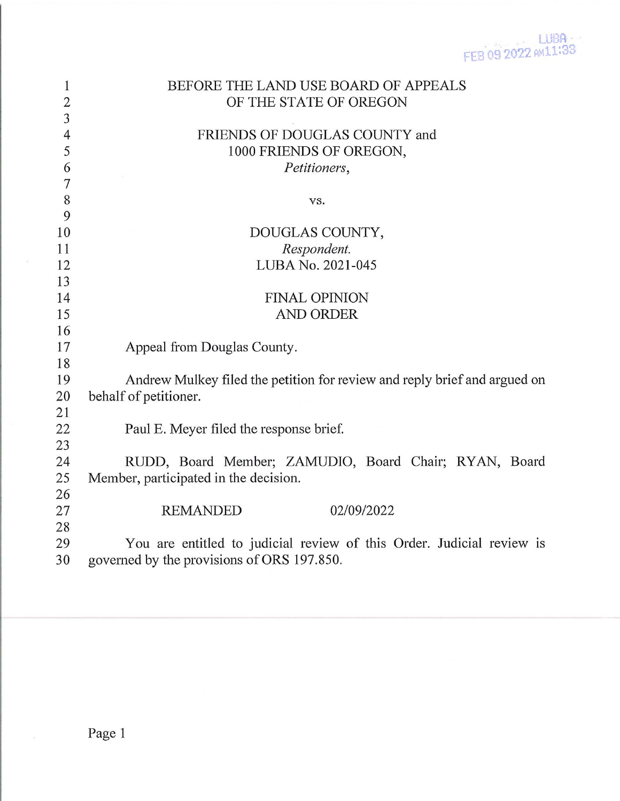| 1              | BEFORE THE LAND USE BOARD OF APPEALS                                      |
|----------------|---------------------------------------------------------------------------|
| $\overline{2}$ | OF THE STATE OF OREGON                                                    |
| $\overline{3}$ |                                                                           |
| $\overline{4}$ | FRIENDS OF DOUGLAS COUNTY and                                             |
| 5              | 1000 FRIENDS OF OREGON,                                                   |
| 6              | Petitioners,                                                              |
| $\overline{7}$ |                                                                           |
| 8              | VS.                                                                       |
| 9              |                                                                           |
| 10             | DOUGLAS COUNTY,                                                           |
| 11             | Respondent.                                                               |
| 12             | LUBA No. 2021-045                                                         |
| 13             |                                                                           |
| 14             | <b>FINAL OPINION</b>                                                      |
| 15             | <b>AND ORDER</b>                                                          |
| 16             |                                                                           |
| 17             | Appeal from Douglas County.                                               |
| 18             |                                                                           |
| 19             | Andrew Mulkey filed the petition for review and reply brief and argued on |
| 20             | behalf of petitioner.                                                     |
| 21             |                                                                           |
| 22             | Paul E. Meyer filed the response brief.                                   |
| 23             |                                                                           |
| 24             | RUDD, Board Member; ZAMUDIO, Board Chair; RYAN, Board                     |
| 25             | Member, participated in the decision.                                     |
| 26             |                                                                           |
| 27             | 02/09/2022<br><b>REMANDED</b>                                             |
| 28             |                                                                           |
| 29             | You are entitled to judicial review of this Order. Judicial review is     |
| 30             | governed by the provisions of ORS 197.850.                                |

 $\bar{\alpha}$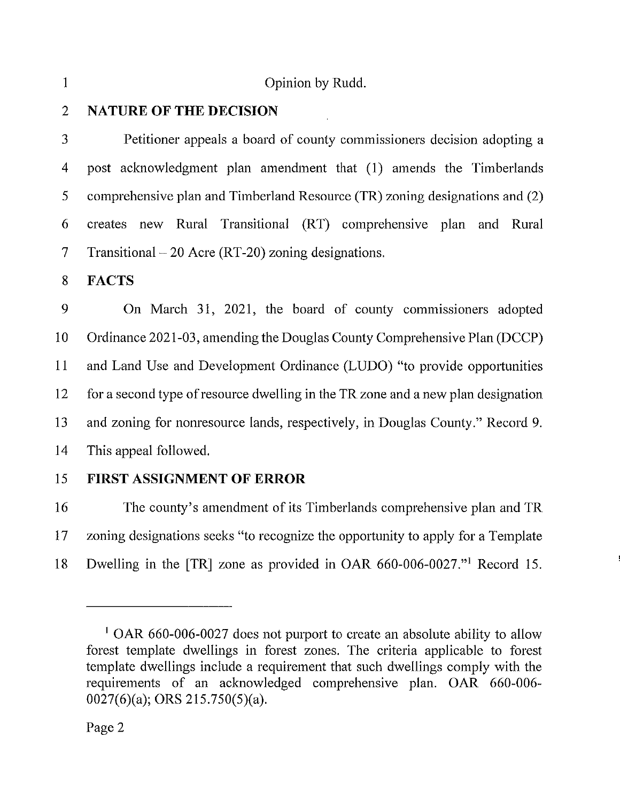1 Opinion by Rudd.

## 2 NATURE OF THE DECISION

3 Petitioner appeals a board of county commissioners decision adopting a 4 post acknowledgment plan amendment that (1) amends the Timberlands 5 comprehensive plan and Timberland Resource (TR) zoning designations and (2) 6 creates new Rural Transitional (RT) comprehensive plan and Rural 7 Transitional  $-20$  Acre (RT-20) zoning designations.

8 FACTS

9 On March 31, 2021, the board of county commissioners adopted 10 Ordinance 2021 -03, amending the Douglas County Comprehensive Plan (DCCP) 11 and Land Use and Development Ordinance (LUDO) "to provide opportunities 12 for a second type of resource dwelling in the TR zone and a new plan designation 13 and zoning for nonresource lands, respectively, in Douglas County." Record 9. 14 This appeal followed.

15 FIRST ASSIGNMENT OF ERROR

16 The county's amendment of its Timberlands comprehensive plan and TR 17 zoning designations seeks "to recognize the opportunity to apply for a Template 18 Dwelling in the [TR] zone as provided in OAR 660-006-0027."1 Record 15.

<sup>&</sup>lt;sup>1</sup> OAR 660-006-0027 does not purport to create an absolute ability to allow forest template dwellings in forest zones. The criteria applicable to forest template dwellings include a requirement that such dwellings comply with the requirements of an acknowledged comprehensive plan. OAR 660-006- 0027(6)(a); ORS 215.750(5)(a).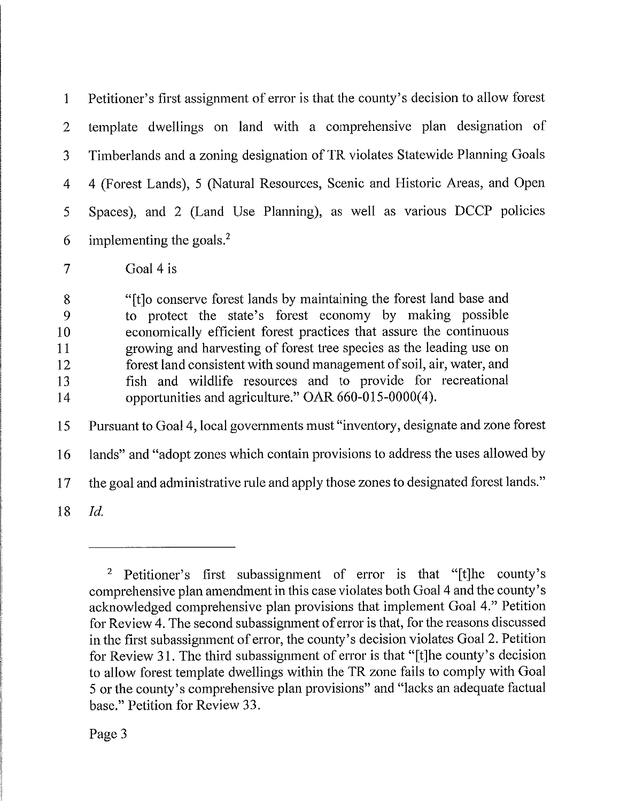1 Petitioner's first assignment of error is that the county's decision to allow forest 2 template dwellings on land with a comprehensive plan designation of 3 Timberlands and a zoning designation of TR violates Statewide Planning Goals 4 4 (Forest Lands), 5 (Natural Resources, Scenic and Historic Areas, and Open 5 Spaces), and 2 (Land Use Planning), as well as various DCCP policies 6 implementing the goals.<sup>2</sup>

7 Goal 4 is

8 "[t]o conserve forest lands by maintaining the forest land base and 9 to protect the state's forest economy by making possible 10 economically efficient forest practices that assure the continuous 11 growing and harvesting of forest tree species as the leading use on 12 forest land consistent with sound management of soil, air, water, and 13 fish and wildlife resources and to provide for recreational 14 opportunities and agriculture." OAR 660-015-0000(4).

15 Pursuant to Goal 4, local governments must "inventory, designate and zone forest

16 lands" and "adopt zones which contain provisions to address the uses allowed by

17 the goal and administrative rule and apply those zones to designated forest lands."

18 Id,

<sup>&</sup>lt;sup>2</sup> Petitioner's first subassignment of error is that "[t]he county's comprehensive plan amendment in this case violates both Goal 4 and the county's acknowledged comprehensive plan provisions that implement Goal 4." Petition for Review 4. The second subassignment of error is that, for the reasons discussed in the first subassignment of error, the county's decision violates Goal 2. Petition for Review 31. The third subassignment of error is that "[t]he county's decision to allow forest template dwellings within the TR zone fails to comply with Goal 5 or the county's comprehensive plan provisions" and "lacks an adequate factual base." Petition for Review 33.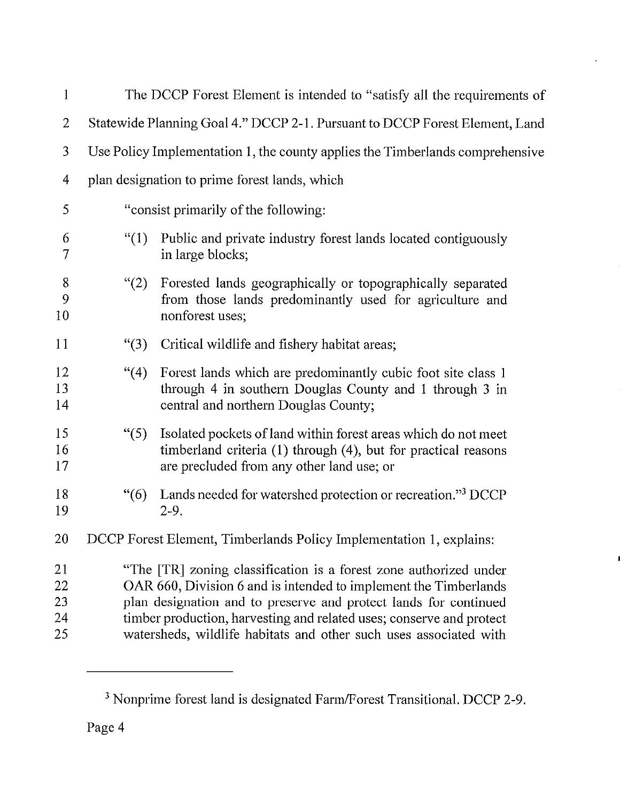|                                                                                                                                                                                                                                                                                                                                                        | The DCCP Forest Element is intended to "satisfy all the requirements of                                                                                                       |  |  |
|--------------------------------------------------------------------------------------------------------------------------------------------------------------------------------------------------------------------------------------------------------------------------------------------------------------------------------------------------------|-------------------------------------------------------------------------------------------------------------------------------------------------------------------------------|--|--|
| Statewide Planning Goal 4." DCCP 2-1. Pursuant to DCCP Forest Element, Land                                                                                                                                                                                                                                                                            |                                                                                                                                                                               |  |  |
| Use Policy Implementation 1, the county applies the Timberlands comprehensive                                                                                                                                                                                                                                                                          |                                                                                                                                                                               |  |  |
| plan designation to prime forest lands, which                                                                                                                                                                                                                                                                                                          |                                                                                                                                                                               |  |  |
| "consist primarily of the following:                                                                                                                                                                                                                                                                                                                   |                                                                                                                                                                               |  |  |
| (1)                                                                                                                                                                                                                                                                                                                                                    | Public and private industry forest lands located contiguously<br>in large blocks;                                                                                             |  |  |
| (2)                                                                                                                                                                                                                                                                                                                                                    | Forested lands geographically or topographically separated<br>from those lands predominantly used for agriculture and<br>nonforest uses;                                      |  |  |
| $\lq(3)$                                                                                                                                                                                                                                                                                                                                               | Critical wildlife and fishery habitat areas;                                                                                                                                  |  |  |
| $\cdot$ (4)                                                                                                                                                                                                                                                                                                                                            | Forest lands which are predominantly cubic foot site class 1<br>through 4 in southern Douglas County and 1 through 3 in<br>central and northern Douglas County;               |  |  |
| $\degree(5)$                                                                                                                                                                                                                                                                                                                                           | Isolated pockets of land within forest areas which do not meet<br>timberland criteria (1) through (4), but for practical reasons<br>are precluded from any other land use; or |  |  |
| $\degree(6)$                                                                                                                                                                                                                                                                                                                                           | Lands needed for watershed protection or recreation." <sup>3</sup> DCCP<br>$2-9.$                                                                                             |  |  |
|                                                                                                                                                                                                                                                                                                                                                        | DCCP Forest Element, Timberlands Policy Implementation 1, explains:                                                                                                           |  |  |
| "The [TR] zoning classification is a forest zone authorized under<br>OAR 660, Division 6 and is intended to implement the Timberlands<br>plan designation and to preserve and protect lands for continued<br>timber production, harvesting and related uses; conserve and protect<br>watersheds, wildlife habitats and other such uses associated with |                                                                                                                                                                               |  |  |
|                                                                                                                                                                                                                                                                                                                                                        |                                                                                                                                                                               |  |  |

<sup>&</sup>lt;sup>3</sup> Nonprime forest land is designated Farm/Forest Transitional. DCCP 2-9.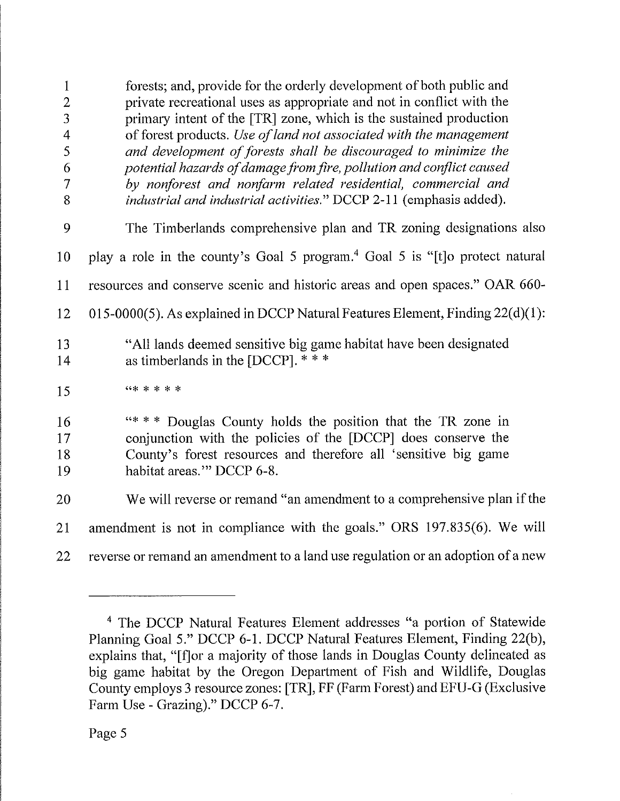1 forests; and, provide for the orderly development of both public and 2 private recreational uses as appropriate and not in conflict with the 3 primary intent of the [TR] zone, which is the sustained production 4 of forest products. Use of land not associated with the management 5 and development of forests shall be discouraged to minimize the 6 potential hazards of damage from fire, pollution and conflict, caused 7 by nonforest and. nonfarm related residential, commercial and 8 *industrial and industrial activities.*" DCCP 2-11 (emphasis added). 9 The Timberlands comprehensive plan and TR zoning designations also 10 play a role in the county's Goal 5 program.4 Goal 5 is "[t]o protect natural 11 resources and conserve scenic and historic areas and open spaces." OAR 660- 12 015-0000(5). As explained in DCCP Natural Features Element, Finding 22(d)(l): 13 "All lands deemed sensitive big game habitat have been designated 14 as timberlands in the [DCCP]. \* \* \*  $15$  (\*\*\*\*\*\* 16 "\*\*\* Douglas County holds the position that the TR zone in 17 conjunction with the policies of the [DCCP] does conserve the 18 County's forest resources and therefore all 'sensitive big game 19 habitat areas.'" DCCP 6-8. 20 We will reverse or remand "an amendment to a comprehensive plan if the 21 amendment is not in compliance with the goals." ORS 197.835(6). We will 22 reverse or remand an amendment to a land use regulation or an adoption of a new

<sup>4</sup> The DCCP Natural Features Element addresses "a portion of Statewide Planning Goal 5." DCCP 6-1. DCCP Natural Features Element, Finding 22(b), explains that, "[f]or a majority of those lands in Douglas County delineated as big game habitat by the Oregon Department of Fish and Wildlife, Douglas County employs 3 resource zones: [TR], FF (Farm Forest) and EFU-G (Exclusive Farm Use - Grazing)." DCCP 6-7.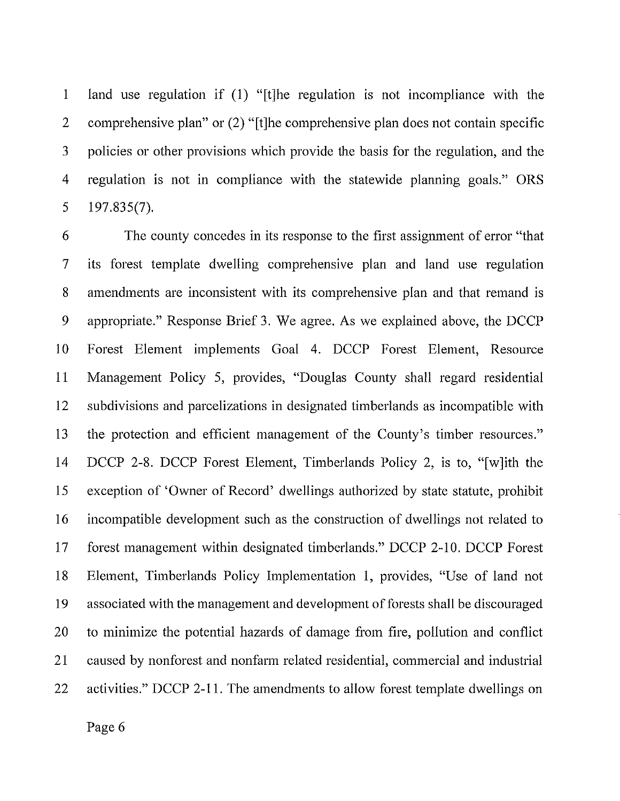1 land use regulation if (1) "[t]he regulation is not incompliance with the 2 comprehensive plan" or (2) "[t]he comprehensive plan does not contain specific 3 policies or other provisions which provide the basis for the regulation, and the 4 regulation is not in compliance with the statewide planning goals." ORS 5 197.835(7).

6 The county concedes in its response to the first assignment of error "that 7 its forest template dwelling comprehensive plan and land use regulation 8 amendments are inconsistent with its comprehensive plan and that remand is 9 appropriate." Response Brief 3. We agree. As we explained above, the DCCP 10 Forest Element implements Goal 4. DCCP Forest Element, Resource 11 Management Policy 5, provides, "Douglas County shall regard residential 12 subdivisions and parcelizations in designated timberlands as incompatible with 13 the protection and efficient management of the County's timber resources." 14 DCCP 2-8. DCCP Forest Element, Timberlands Policy 2, is to, "[w]lth the 15 exception of 'Owner of Record" dwellings authorized by state statute, prohibit 16 incompatible development such as the construction of dwellings not related to 17 forest management within designated timberlands." DCCP 2-10. DCCP Forest 18 Element, Timberlands Policy Implementation 1, provides, "Use of land not 19 associated with the management and development of forests shall be discouraged 20 to minimize the potential hazards of damage from fire, pollution and conflict 21 caused by nonforest and nonfarm related residential, commercial and industrial 22 activities." DCCP 2-11. The amendments to allow forest template dwellings on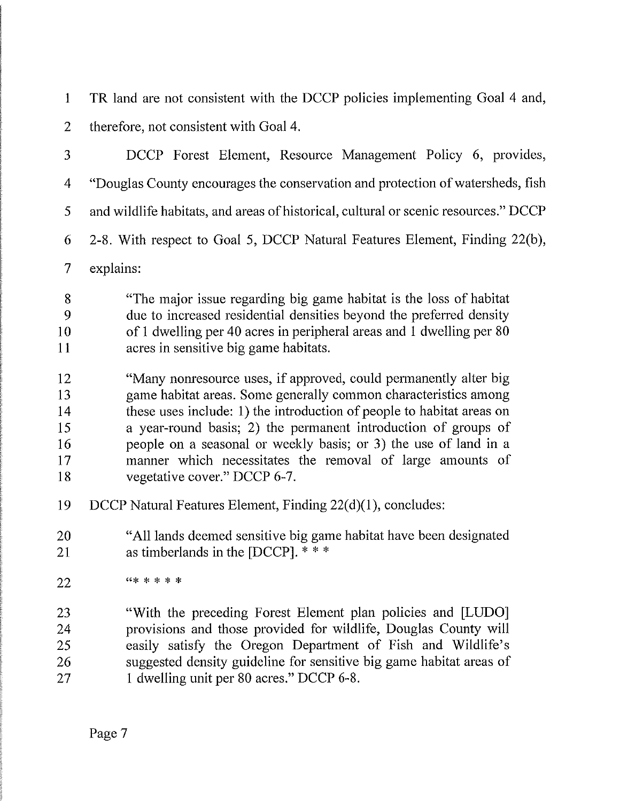1 TR land are not consistent with the DCCP policies implementing Goal 4 and, 2 therefore, not consistent with Goal 4.

| 3                                      | DCCP Forest Element, Resource Management Policy 6, provides,                                                                                                                                                                                                                                                                                                                                                                                    |
|----------------------------------------|-------------------------------------------------------------------------------------------------------------------------------------------------------------------------------------------------------------------------------------------------------------------------------------------------------------------------------------------------------------------------------------------------------------------------------------------------|
| 4                                      | "Douglas County encourages the conservation and protection of watersheds, fish                                                                                                                                                                                                                                                                                                                                                                  |
| 5                                      | and wildlife habitats, and areas of historical, cultural or scenic resources." DCCP                                                                                                                                                                                                                                                                                                                                                             |
| 6                                      | 2-8. With respect to Goal 5, DCCP Natural Features Element, Finding 22(b),                                                                                                                                                                                                                                                                                                                                                                      |
| 7                                      | explains:                                                                                                                                                                                                                                                                                                                                                                                                                                       |
| 8<br>9<br>10<br>11                     | "The major issue regarding big game habitat is the loss of habitat<br>due to increased residential densities beyond the preferred density<br>of 1 dwelling per 40 acres in peripheral areas and 1 dwelling per 80<br>acres in sensitive big game habitats.                                                                                                                                                                                      |
| 12<br>13<br>14<br>15<br>16<br>17<br>18 | "Many nonresource uses, if approved, could permanently alter big<br>game habitat areas. Some generally common characteristics among<br>these uses include: 1) the introduction of people to habitat areas on<br>a year-round basis; 2) the permanent introduction of groups of<br>people on a seasonal or weekly basis; or 3) the use of land in a<br>manner which necessitates the removal of large amounts of<br>vegetative cover." DCCP 6-7. |
| 19                                     | DCCP Natural Features Element, Finding 22(d)(1), concludes:                                                                                                                                                                                                                                                                                                                                                                                     |
| 20<br>21                               | "All lands deemed sensitive big game habitat have been designated<br>as timberlands in the [DCCP]. ***                                                                                                                                                                                                                                                                                                                                          |
| 22                                     | *****                                                                                                                                                                                                                                                                                                                                                                                                                                           |
| 23<br>24<br>25<br>26<br>27             | "With the preceding Forest Element plan policies and [LUDO]<br>provisions and those provided for wildlife, Douglas County will<br>easily satisfy the Oregon Department of Fish and Wildlife's<br>suggested density guideline for sensitive big game habitat areas of<br>1 dwelling unit per 80 acres." DCCP 6-8.                                                                                                                                |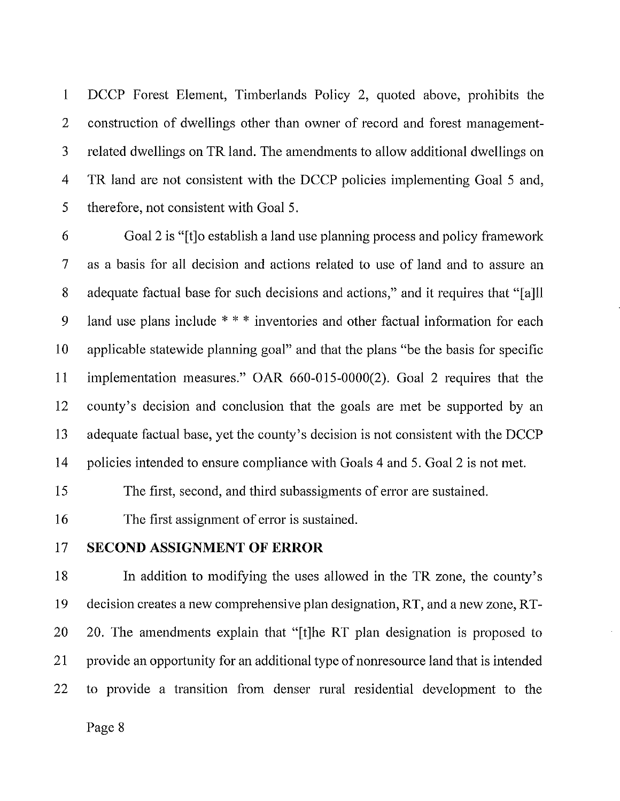1 DCCP Forest Element, Timberlands Policy 2, quoted above, prohibits the 2 construction of dwellings other than owner of record and forest management-3 related dwellings on TR land. The amendments to allow additional dwellings on 4 TR land are not consistent with the DCCP policies implementing Goal 5 and, 5 therefore, not consistent with Goal 5.

6 Goal 2 is "[t]o establish a land use planning process and policy framework 7 as a basis for all decision and actions related to use of land and to assure an 8 adequate factual base for such decisions and actions," and it requires that "[a]ll 9 land use plans include  $***$  inventories and other factual information for each 10 applicable statewide planning goal" and that the plans "be the basis for specific 11 implementation measures." OAR 660-015-0000(2). Goal 2 requires that the 12 county's decision and conclusion that the goals are met be supported by an 13 adequate factual base, yet the county's decision is not consistent with the DCCP 14 policies intended to ensure compliance with Goals 4 and 5. Goal 2 is not met.

15 The first, second, and third subassigments of error are sustained.

16 The first assignment of error is sustained.

## 17 SECOND ASSIGNMENT OF ERROR

18 In addition to modifying the uses allowed in the TR zone, the county's 19 decision creates a new comprehensive plan designation, RT, and a new zone, RT-20 20. The amendments explain that "[t]he RT plan designation is proposed to 21 provide an opportunity for an additional type of nonresource land that is intended 22 to provide a transition from denser rural residential development to the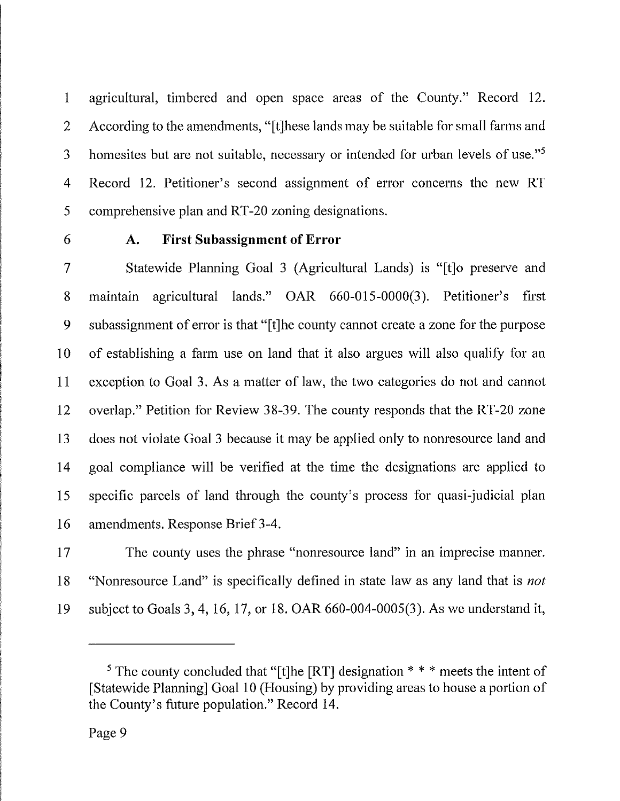1 agricultural, timbered and open space areas of the County." Record 12. 2 According to the amendments, "[t]hese lands may be suitable for small farms and 3 homesites but are not suitable, necessary or intended for urban levels of use."<sup>5</sup> 4 Record 12. Petitioner's second assignment of error concerns the new RT 5 comprehensive plan and RT-20 zoning designations.

## 6 A. First Subassignment of Error

7 Statewide Planning Goal 3 (Agricultural Lands) is "[t]o preserve and 8 maintain agricultural lands." OAR 660-015-0000(3). Petitioner's first 9 subassignment of error is that "[t]he county cannot create a zone for the purpose 10 of establishing a farm use on land that It also argues will also qualify for an 11 exception to Goal 3. As a matter of law, the two categories do not and cannot 12 overlap." Petition for Review 38-39. The county responds that the RT-20 zone 13 does not violate Goal 3 because it may be applied only to nonresource land and 14 goal compliance will be verified at the time the designations are applied to 15 specific parcels of land through the county's process for quasi-judicial plan 16 amendments. Response Brief 3-4.

17 The county uses the phrase "nonresource land" in an imprecise manner. 18 "Nonresource Land" is specifically defined in state law as any land that is *not* 19 subject to Goals 3, 4, 16, 17, or 18. OAR 660-004-0005(3). As we understand it,

<sup>&</sup>lt;sup>5</sup> The county concluded that "[t]he [RT] designation  $* * *$  meets the intent of [Statewide Planning] Goal 10 (Housing) by providing areas to house a portion of the County's future population." Record 14.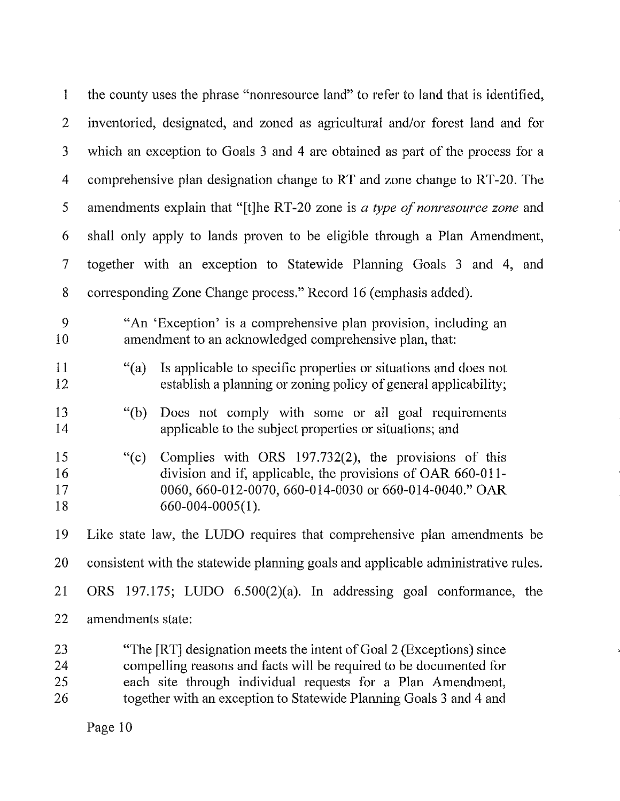| $\mathbf{1}$             | the county uses the phrase "nonresource land" to refer to land that is identified,                                                                                                                                                                                             |
|--------------------------|--------------------------------------------------------------------------------------------------------------------------------------------------------------------------------------------------------------------------------------------------------------------------------|
| $\overline{2}$           | inventoried, designated, and zoned as agricultural and/or forest land and for                                                                                                                                                                                                  |
| 3                        | which an exception to Goals 3 and 4 are obtained as part of the process for a                                                                                                                                                                                                  |
| $\overline{4}$           | comprehensive plan designation change to RT and zone change to RT-20. The                                                                                                                                                                                                      |
| 5                        | amendments explain that "[t]he RT-20 zone is a type of nonresource zone and                                                                                                                                                                                                    |
| 6                        | shall only apply to lands proven to be eligible through a Plan Amendment,                                                                                                                                                                                                      |
| $\overline{\mathcal{L}}$ | together with an exception to Statewide Planning Goals 3 and 4, and                                                                                                                                                                                                            |
| 8                        | corresponding Zone Change process." Record 16 (emphasis added).                                                                                                                                                                                                                |
| 9<br>10 <sub>1</sub>     | "An 'Exception' is a comprehensive plan provision, including an<br>amendment to an acknowledged comprehensive plan, that:                                                                                                                                                      |
| 11<br>12                 | Is applicable to specific properties or situations and does not<br>$\lq(a)$<br>establish a planning or zoning policy of general applicability;                                                                                                                                 |
| 13<br>14                 | Does not comply with some or all goal requirements<br>"(b)<br>applicable to the subject properties or situations; and                                                                                                                                                          |
| 15<br>16<br>17<br>18     | Complies with ORS 197.732(2), the provisions of this<br>``(c)<br>division and if, applicable, the provisions of OAR 660-011-<br>0060, 660-012-0070, 660-014-0030 or 660-014-0040." OAR<br>$660 - 004 - 0005(1)$ .                                                              |
| 19                       | Like state law, the LUDO requires that comprehensive plan amendments be                                                                                                                                                                                                        |
| 20                       | consistent with the statewide planning goals and applicable administrative rules.                                                                                                                                                                                              |
| 21                       | ORS 197.175; LUDO 6.500(2)(a). In addressing goal conformance, the                                                                                                                                                                                                             |
| 22                       | amendments state:                                                                                                                                                                                                                                                              |
| 23<br>24<br>25<br>26     | "The [RT] designation meets the intent of Goal 2 (Exceptions) since<br>compelling reasons and facts will be required to be documented for<br>each site through individual requests for a Plan Amendment,<br>together with an exception to Statewide Planning Goals 3 and 4 and |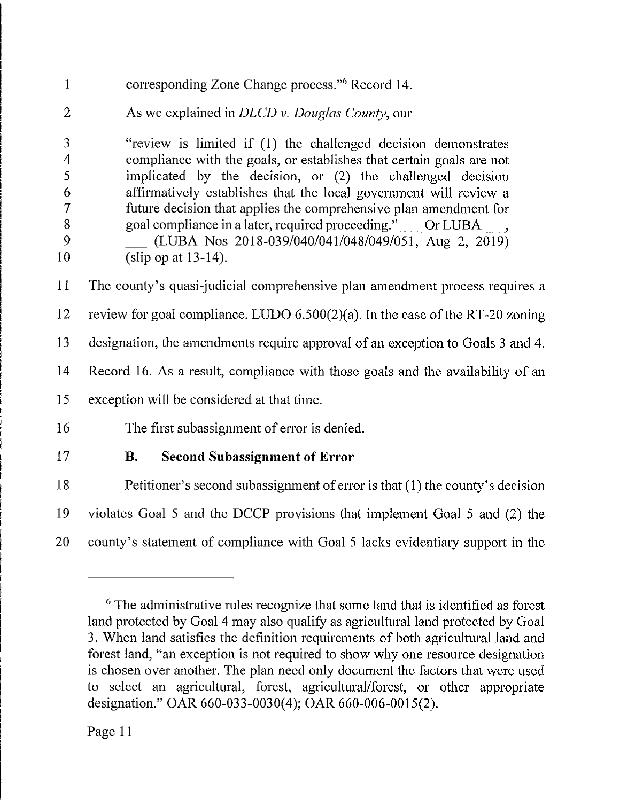| $\mathbf{1}$                                                    | corresponding Zone Change process." <sup>6</sup> Record 14.                                                                                                                                                                                                                                                                                                                                                                                                                                          |
|-----------------------------------------------------------------|------------------------------------------------------------------------------------------------------------------------------------------------------------------------------------------------------------------------------------------------------------------------------------------------------------------------------------------------------------------------------------------------------------------------------------------------------------------------------------------------------|
| $\overline{2}$                                                  | As we explained in DLCD v. Douglas County, our                                                                                                                                                                                                                                                                                                                                                                                                                                                       |
| 3<br>$\overline{4}$<br>5<br>6<br>$\overline{7}$<br>8<br>9<br>10 | "review is limited if (1) the challenged decision demonstrates<br>compliance with the goals, or establishes that certain goals are not<br>implicated by the decision, or (2) the challenged decision<br>affirmatively establishes that the local government will review a<br>future decision that applies the comprehensive plan amendment for<br>goal compliance in a later, required proceeding." __ Or LUBA __,<br>(LUBA Nos 2018-039/040/041/048/049/051, Aug 2, 2019)<br>(slip op at $13-14$ ). |
| 11                                                              | The county's quasi-judicial comprehensive plan amendment process requires a                                                                                                                                                                                                                                                                                                                                                                                                                          |
| 12                                                              | review for goal compliance. LUDO $6.500(2)(a)$ . In the case of the RT-20 zoning                                                                                                                                                                                                                                                                                                                                                                                                                     |
| 13                                                              | designation, the amendments require approval of an exception to Goals 3 and 4.                                                                                                                                                                                                                                                                                                                                                                                                                       |
| 14                                                              | Record 16. As a result, compliance with those goals and the availability of an                                                                                                                                                                                                                                                                                                                                                                                                                       |
| 15                                                              | exception will be considered at that time.                                                                                                                                                                                                                                                                                                                                                                                                                                                           |
| 16                                                              | The first subassignment of error is denied.                                                                                                                                                                                                                                                                                                                                                                                                                                                          |
| 17                                                              | <b>B.</b><br><b>Second Subassignment of Error</b>                                                                                                                                                                                                                                                                                                                                                                                                                                                    |
| 18                                                              | Petitioner's second subassignment of error is that $(1)$ the county's decision                                                                                                                                                                                                                                                                                                                                                                                                                       |
| 19                                                              | violates Goal 5 and the DCCP provisions that implement Goal 5 and (2) the                                                                                                                                                                                                                                                                                                                                                                                                                            |
| 20                                                              | county's statement of compliance with Goal 5 lacks evidentiary support in the                                                                                                                                                                                                                                                                                                                                                                                                                        |

<sup>6</sup> The administrative rules recognize that some land that is identified as forest land protected by Goal 4 may also qualify as agricultural land protected by Goal 3. When land satisfies the definition requirements of both agricultural land and forest land, "an exception is not required to show why one resource designation is chosen over another. The plan need only document the factors that were used to select an agricultural, forest, agricultural/forest, or other appropriate designation." OAR 660-033-0030(4); OAR 660-006-0015(2).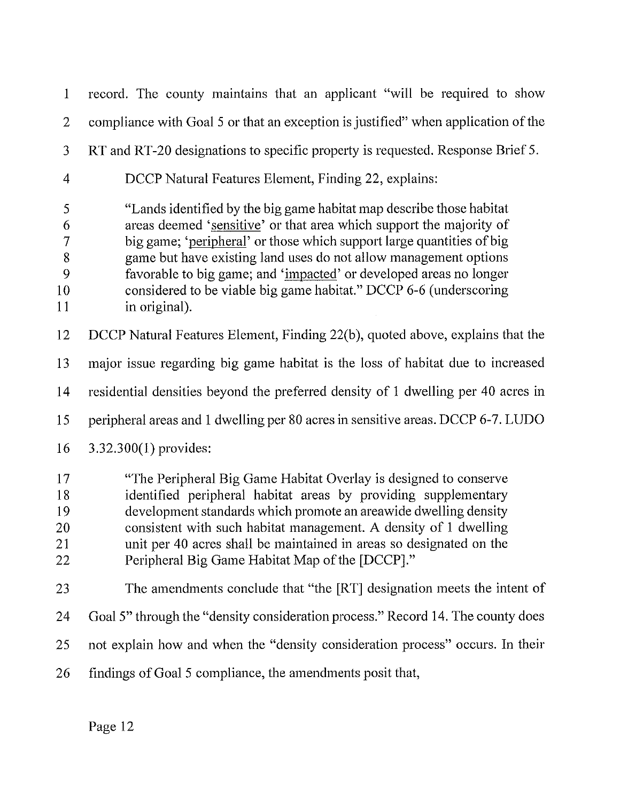1 record. The county maintains that an applicant "will be required to show 2 compliance with Goal 5 or that an exception is justified" when application of the 3 RT and RT-20 designations to specific property is requested. Response Brief 5. 4 DCCP Natural Features Element, Finding 22, explains: 5 "Lands Identified by the big game habitat map describe those habitat 6 areas deemed 'sensitive' or that area which support the majority of 7 big game; 'peripheral' or those which support large quantities of big<br>8 game but have existing land uses do not allow management options game but have existing land uses do not allow management options 9 favorable to big game; and 'impacted' or developed areas no longer 10 considered to be viable big game habitat." DCCP 6-6 (underscoring 11 in original). 12 DCCP Natural Features Element, Finding 22(b), quoted above, explains that the 13 major issue regarding big game habitat Is the loss of habitat due to increased 14 residential densities beyond the preferred density of 1 dwelling per 40 acres in 15 peripheral areas and 1 dwelling per 80 acres in sensitive areas. DCCP 6-7. LUDO 16 3.32.300(1) provides: 17 "The Peripheral Big Game Habitat Overlay is designed to conserve 18 identified peripheral habitat areas by providing supplementary 19 development standards which promote an areawlde dwelling density 20 consistent with such habitat management. A density of 1 dwelling 21 unit per 40 acres shall be maintained in areas so designated on the 22 Peripheral Big Game Habitat Map of the [DCCP]." 23 The amendments conclude that "the [RT] designation meets the intent of 24 Goal 5" through the "density consideration process." Record 14. The county does

- 25 not explain how and when the "density consideration process" occurs. In their
- 26 findings of Goal 5 compliance, the amendments posit that,